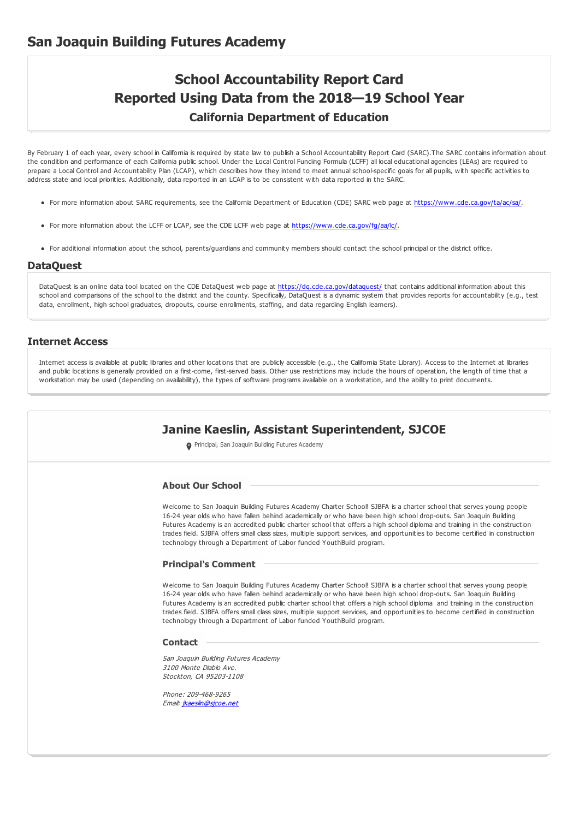# **School Accountability Report Card Reported Using Data from the 2018—19 School Year California Department of Education**

By February 1 of each year, every school in California is required by state law to publish a School Accountability Report Card (SARC).The SARC contains information about the condition and performance of each California public school. Under the Local Control Funding Formula (LCFF) all local educational agencies (LEAs) are required to prepare a Local Control and Accountability Plan (LCAP), which describes how they intend to meet annual school-specific goals for all pupils, with specific activities to address state and local priorities. Additionally, data reported in an LCAP is to be consistent with data reported in the SARC.

- For more information about SARC requirements, see the California Department of Education (CDE) SARC web page at <https://www.cde.ca.gov/ta/ac/sa/>.
- For more information about the LCFF or LCAP, see the CDE LCFF web page at <https://www.cde.ca.gov/fg/aa/lc/>.
- For additional information about the school, parents/guardians and community members should contact the school principal or the district office.

#### **DataQuest**

DataQuest is an online data tool located on the CDE DataQuest web page at <https://dq.cde.ca.gov/dataquest/> that contains additional information about this school and comparisons of the school to the district and the county. Specifically, DataQuest is a dynamic system that provides reports for accountability (e.g., test data, enrollment, high school graduates, dropouts, course enrollments, staffing, and data regarding English learners).

#### **Internet Access**

Internet access is available at public libraries and other locations that are publicly accessible (e.g., the California State Library). Access to the Internet at libraries and public locations is generally provided on a first-come, first-served basis. Other use restrictions may include the hours of operation, the length of time that a workstation may be used (depending on availability), the types of software programs available on a workstation, and the ability to print documents.

# **Janine Kaeslin, Assistant Superintendent, SJCOE**

**O** Principal, San Joaquin Building Futures Academy

#### **About Our School**

Welcome to San Joaquin Building Futures Academy Charter School! SJBFA is a charter school that serves young people 16-24 year olds who have fallen behind academically or who have been high school drop-outs. San Joaquin Building Futures Academy is an accredited public charter school that offers a high school diploma and training in the construction trades field. SJBFA offers small class sizes, multiple support services, and opportunities to become certified in construction technology through a Department of Labor funded YouthBuild program.

#### **Principal's Comment**

Welcome to San Joaquin Building Futures Academy Charter School! SJBFA is a charter school that serves young people 16-24 year olds who have fallen behind academically or who have been high school drop-outs. San Joaquin Building Futures Academy is an accredited public charter school that offers a high school diploma and training in the construction trades field. SJBFA offers small class sizes, multiple support services, and opportunities to become certified in construction technology through a Department of Labor funded YouthBuild program.

#### **Contact**

San Joaquin Building Futures Academy 3100 Monte Diablo Ave. Stockton, CA 95203-1108

Phone: 209-468-9265 Email: [jkaeslin@sjcoe.net](mailto:jkaeslin@sjcoe.net)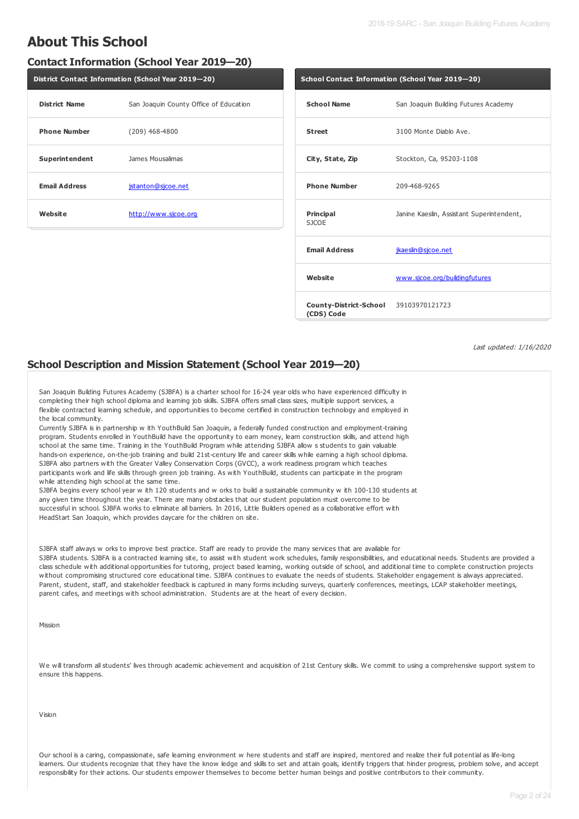# **About This School**

## **Contact Information (School Year 2019—20)**

| District Contact Information (School Year 2019-20) |                                        |  |  |  |  |  |
|----------------------------------------------------|----------------------------------------|--|--|--|--|--|
| <b>District Name</b>                               | San Joaquin County Office of Education |  |  |  |  |  |
| <b>Phone Number</b>                                | $(209)$ 468-4800                       |  |  |  |  |  |
| Superintendent                                     | James Mousalimas                       |  |  |  |  |  |
| <b>Email Address</b>                               | jstanton@sjcoe.net                     |  |  |  |  |  |
| Website                                            | http://www.sjcoe.org                   |  |  |  |  |  |

| School Contact Information (School Year 2019-20)    |                                           |  |  |  |
|-----------------------------------------------------|-------------------------------------------|--|--|--|
| <b>School Name</b>                                  | San Joaquin Building Futures Academy      |  |  |  |
| <b>Street</b>                                       | 3100 Monte Diablo Ave.                    |  |  |  |
| City, State, Zip                                    | Stockton, Ca, 95203-1108                  |  |  |  |
| <b>Phone Number</b>                                 | 209-468-9265                              |  |  |  |
| Principal<br><b>SJCOE</b>                           | Janine Kaeslin, Assistant Superintendent, |  |  |  |
| <b>Email Address</b>                                | jkaeslin@sjcoe.net                        |  |  |  |
| Website                                             | www.sjcoe.org/buildingfutures             |  |  |  |
| County-District-School 39103970121723<br>(CDS) Code |                                           |  |  |  |

Last updated: 1/16/2020

## **School Description and Mission Statement (School Year 2019—20)**

San Joaquin Building Futures Academy (SJBFA) is a charter school for 16-24 year olds who have experienced difficulty in completing their high school diploma and learning job skills. SJBFA offers small class sizes, multiple support services, a flexible contracted learning schedule, and opportunities to become certified in construction technology and employed in the local community.

Currently SJBFA is in partnership w ith YouthBuild San Joaquin, a federally funded construction and employment-training program. Students enrolled in YouthBuild have the opportunity to earn money, learn construction skills, and attend high school at the same time. Training in the YouthBuild Program while attending SJBFA allow s students to gain valuable hands-on experience, on-the-job training and build 21st-century life and career skills while earning a high school diploma. SJBFA also partners with the Greater Valley Conservation Corps (GVCC), a work readiness program which teaches participants work and life skills through green job training. As with YouthBuild, students can participate in the program while attending high school at the same time.

SJBFA begins every school year w ith 120 students and w orks to build a sustainable community w ith 100-130 students at any given time throughout the year. There are many obstacles that our student population must overcome to be successful in school. SJBFA works to eliminate all barriers. In 2016, Little Builders opened as a collaborative effort with HeadStart San Joaquin, which provides daycare for the children on site.

SJBFA staff always w orks to improve best practice. Staff are ready to provide the many services that are available for SJBFA students. SJBFA is a contracted learning site, to assist with student work schedules, family responsibilities, and educational needs. Students are provided a class schedule with additional opportunities for tutoring, project based learning, working outside of school, and additional time to complete construction projects without compromising structured core educational time. SJBFA continues to evaluate the needs of students. Stakeholder engagement is always appreciated. Parent, student, staff, and stakeholder feedback is captured in many forms including surveys, quarterly conferences, meetings, LCAP stakeholder meetings, parent cafes, and meetings with school administration. Students are at the heart of every decision.

Mission

We will transform all students' lives through academic achievement and acquisition of 21st Century skills. We commit to using a comprehensive support system to ensure this happens.

Vision

Our school is a caring, compassionate, safe learning environment w here students and staff are inspired, mentored and realize their full potential as life-long learners. Our students recognize that they have the know ledge and skills to set and attain goals, identify triggers that hinder progress, problem solve, and accept responsibility for their actions. Our students empower themselves to become better human beings and positive contributors to their community.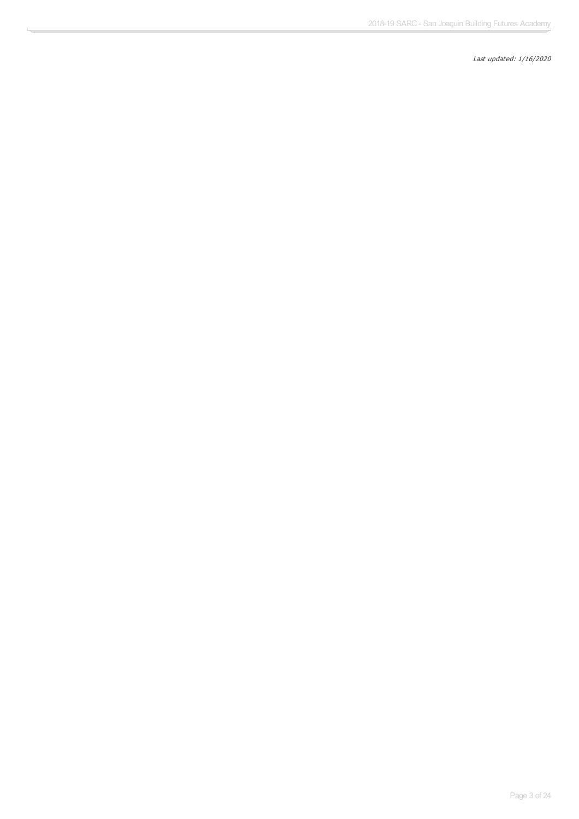Last updated: 1/16/2020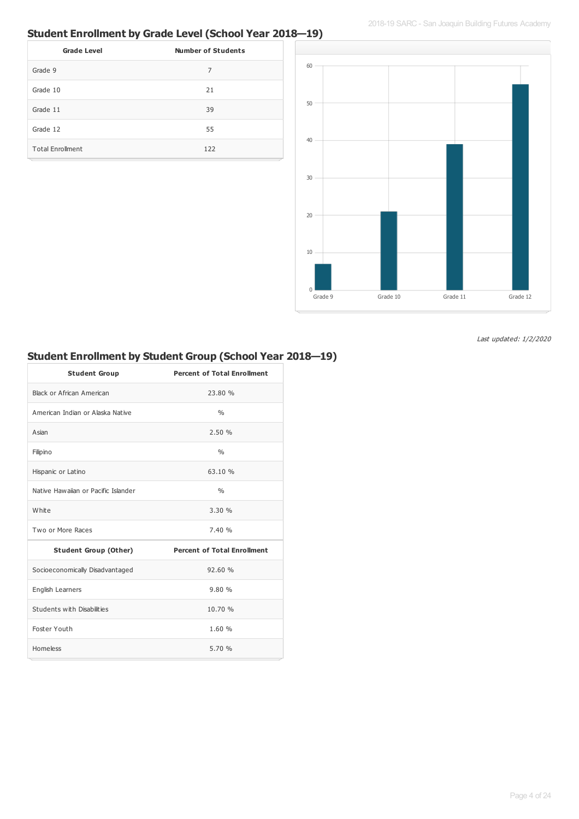# **Student Enrollment by Grade Level (School Year 2018—19)**

| <b>Grade Level</b>      | <b>Number of Students</b> |
|-------------------------|---------------------------|
| Grade 9                 | 7                         |
| Grade 10                | 21                        |
| Grade 11                | 39                        |
| Grade 12                | 55                        |
| <b>Total Enrollment</b> | 122                       |



Last updated: 1/2/2020

# **Student Enrollment by Student Group (School Year 2018—19)**

| <b>Student Group</b>                | <b>Percent of Total Enrollment</b> |
|-------------------------------------|------------------------------------|
| Black or African American           | 23.80 %                            |
| American Indian or Alaska Native    | 0/6                                |
| Asian                               | 2.50%                              |
| Filipino                            | $\frac{0}{0}$                      |
| Hispanic or Latino                  | 63.10%                             |
| Native Hawaijan or Pacific Islander | $\frac{0}{0}$                      |
| White                               | 3.30%                              |
| Two or More Races                   | 7.40%                              |
| <b>Student Group (Other)</b>        | <b>Percent of Total Enrollment</b> |
| Socioeconomically Disadvantaged     | 92.60%                             |
| English Learners                    | 9.80%                              |
| Students with Disabilities          | 10.70 %                            |
| Foster Youth                        | 1.60 %                             |
| Homeless                            | 5.70 %                             |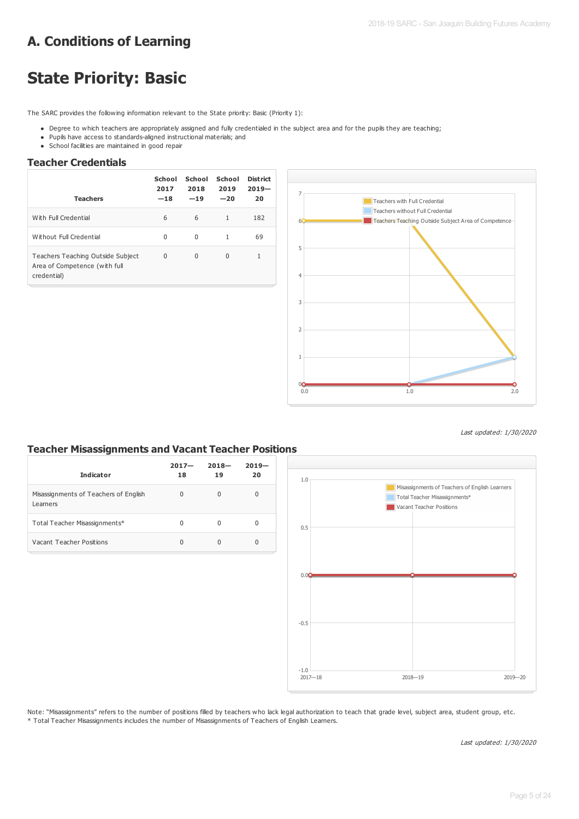# **A. Conditions of Learning**

# **State Priority: Basic**

The SARC provides the following information relevant to the State priority: Basic (Priority 1):

- Degree to which teachers are appropriately assigned and fully credentialed in the subject area and for the pupils they are teaching;
- Pupils have access to standards-aligned instructional materials; and
- School facilities are maintained in good repair

## **Teacher Credentials**

| <b>Teachers</b>                                                                   | School<br>2017<br>$-18$ | School<br>2018<br>$-19$ | School<br>2019<br>$-20$ | District<br>$2019-$<br>20 |
|-----------------------------------------------------------------------------------|-------------------------|-------------------------|-------------------------|---------------------------|
| With Full Credential                                                              | 6                       | 6                       | $\mathbf{1}$            | 182                       |
| Without Full Credential                                                           | 0                       | $\Omega$                | 1                       | 69                        |
| Teachers Teaching Outside Subject<br>Area of Competence (with full<br>credential) | $\Omega$                | $\Omega$                | $\Omega$                | 1                         |



Last updated: 1/30/2020

### **Teacher Misassignments and Vacant Teacher Positions**

| <b>Indicator</b>                                  | $2017 -$<br>18 | $2018 -$<br>19 | $2019 -$<br>20 |
|---------------------------------------------------|----------------|----------------|----------------|
| Misassignments of Teachers of English<br>Learners | 0              | $\Omega$       | $\Omega$       |
| Total Teacher Misassignments*                     | 0              | 0              | 0              |
| Vacant Teacher Positions                          | $\Omega$       | 0              | 0              |



Note: "Misassignments" refers to the number of positions filled by teachers who lack legal authorization to teach that grade level, subject area, student group, etc. \* Total Teacher Misassignments includes the number of Misassignments of Teachers of English Learners.

Last updated: 1/30/2020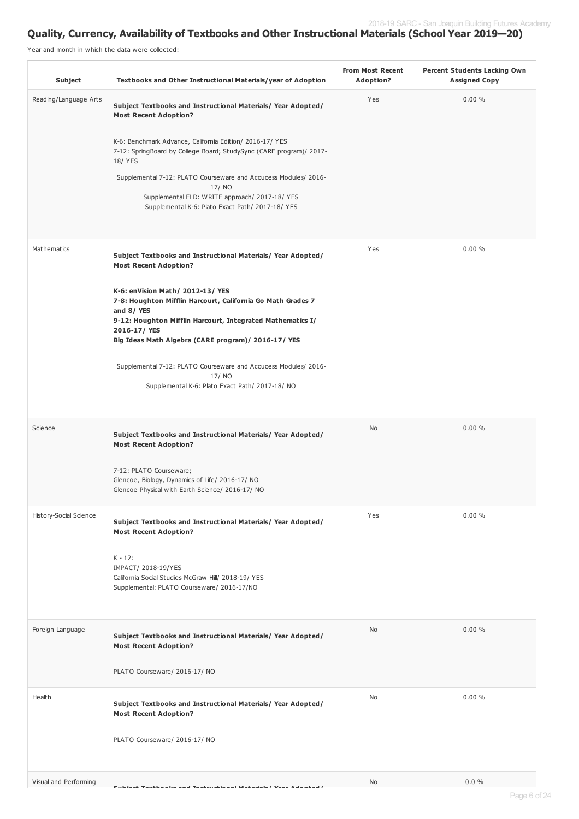## **Quality, Currency, Availability of Textbooks and Other Instructional Materials (School Year 2019—20)**

Year and month in which the data were collected:

| Subject                | Textbooks and Other Instructional Materials/year of Adoption                                                                                                                               | <b>From Most Recent</b><br>Adoption? | <b>Percent Students Lacking Own</b><br><b>Assigned Copy</b> |
|------------------------|--------------------------------------------------------------------------------------------------------------------------------------------------------------------------------------------|--------------------------------------|-------------------------------------------------------------|
| Reading/Language Arts  | Subject Textbooks and Instructional Materials/Year Adopted/<br><b>Most Recent Adoption?</b>                                                                                                | Yes                                  | 0.00%                                                       |
|                        | K-6: Benchmark Advance, California Edition/ 2016-17/ YES<br>7-12: SpringBoard by College Board; StudySync (CARE program)/ 2017-<br>18/ YES                                                 |                                      |                                                             |
|                        | Supplemental 7-12: PLATO Courseware and Accucess Modules/ 2016-<br>17/NO<br>Supplemental ELD: WRITE approach/ 2017-18/ YES                                                                 |                                      |                                                             |
|                        | Supplemental K-6: Plato Exact Path/ 2017-18/ YES                                                                                                                                           |                                      |                                                             |
| Mathematics            | Subject Textbooks and Instructional Materials/Year Adopted/<br><b>Most Recent Adoption?</b>                                                                                                | Yes                                  | 0.00%                                                       |
|                        | K-6: enVision Math/ 2012-13/ YES<br>7-8: Houghton Mifflin Harcourt, California Go Math Grades 7<br>and 8/YES<br>9-12: Houghton Mifflin Harcourt, Integrated Mathematics I/<br>2016-17/ YES |                                      |                                                             |
|                        | Big Ideas Math Algebra (CARE program)/ 2016-17/ YES<br>Supplemental 7-12: PLATO Courseware and Accucess Modules/ 2016-<br>17/NO<br>Supplemental K-6: Plato Exact Path/ 2017-18/ NO         |                                      |                                                             |
| Science                | Subject Textbooks and Instructional Materials/Year Adopted/<br><b>Most Recent Adoption?</b>                                                                                                | No                                   | 0.00%                                                       |
|                        | 7-12: PLATO Courseware;<br>Glencoe, Biology, Dynamics of Life/ 2016-17/ NO<br>Glencoe Physical with Earth Science/ 2016-17/ NO                                                             |                                      |                                                             |
| History-Social Science | Subject Textbooks and Instructional Materials/Year Adopted/<br><b>Most Recent Adoption?</b>                                                                                                | Yes                                  | 0.00%                                                       |
|                        | $K - 12$ :<br>IMPACT/ 2018-19/YES<br>California Social Studies McGraw Hill/ 2018-19/ YES<br>Supplemental: PLATO Courseware/ 2016-17/NO                                                     |                                      |                                                             |
| Foreign Language       | Subject Textbooks and Instructional Materials/Year Adopted/<br><b>Most Recent Adoption?</b>                                                                                                | No                                   | 0.00%                                                       |
|                        | PLATO Courseware/ 2016-17/ NO                                                                                                                                                              |                                      |                                                             |
| Health                 | Subject Textbooks and Instructional Materials/Year Adopted/<br><b>Most Recent Adoption?</b>                                                                                                | No                                   | 0.00%                                                       |
|                        | PLATO Courseware/ 2016-17/ NO                                                                                                                                                              |                                      |                                                             |
| Visual and Performing  | Constantinople                                                                                                                                                                             | No                                   | $0.0 \%$                                                    |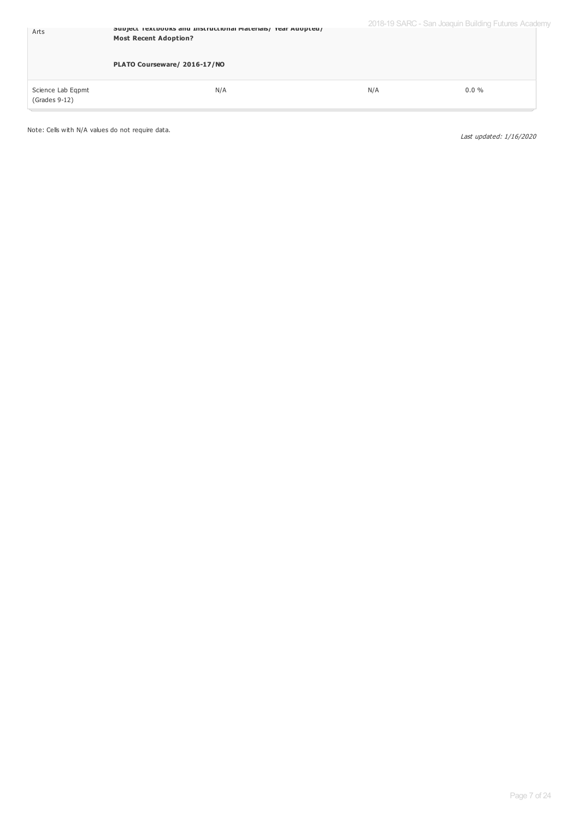| Arts                                 | Subject Textbooks and Instructional Materials/Tear Adopted/<br><b>Most Recent Adoption?</b> |     | 2018-19 SARC - San Joaquin Building Futures Academy |  |
|--------------------------------------|---------------------------------------------------------------------------------------------|-----|-----------------------------------------------------|--|
|                                      | PLATO Courseware/ 2016-17/NO                                                                |     |                                                     |  |
| Science Lab Eqpmt<br>$(Grades 9-12)$ | N/A                                                                                         | N/A | $0.0 \%$                                            |  |

Note: Cells with N/A values do not require data.

Last updated: 1/16/2020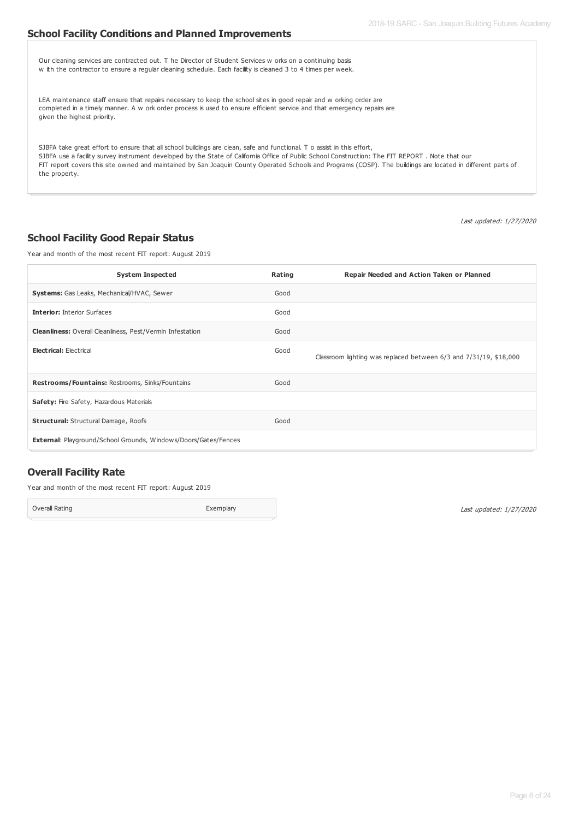### **School Facility Conditions and Planned Improvements**

| Our cleaning services are contracted out. T he Director of Student Services w orks on a continuing basis<br>w ith the contractor to ensure a regular cleaning schedule. Each facility is cleaned 3 to 4 times per week.                                                                                                                                                                                                                                   |
|-----------------------------------------------------------------------------------------------------------------------------------------------------------------------------------------------------------------------------------------------------------------------------------------------------------------------------------------------------------------------------------------------------------------------------------------------------------|
| LEA maintenance staff ensure that repairs necessary to keep the school sites in good repair and w orking order are<br>completed in a timely manner. A w ork order process is used to ensure efficient service and that emergency repairs are<br>given the highest priority.                                                                                                                                                                               |
| SJBFA take great effort to ensure that all school buildings are clean, safe and functional. To assist in this effort,<br>SJBFA use a facility survey instrument developed by the State of California Office of Public School Construction: The FIT REPORT. Note that our<br>FIT report covers this site owned and maintained by San Joaquin County Operated Schools and Programs (COSP). The buildings are located in different parts of<br>the property. |

Last updated: 1/27/2020

### **School Facility Good Repair Status**

Year and month of the most recent FIT report: August 2019

| <b>System Inspected</b>                                                | Rating | Repair Needed and Action Taken or Planned                         |
|------------------------------------------------------------------------|--------|-------------------------------------------------------------------|
| <b>Systems:</b> Gas Leaks, Mechanical/HVAC, Sewer                      | Good   |                                                                   |
| <b>Interior: Interior Surfaces</b>                                     | Good   |                                                                   |
| <b>Cleanliness:</b> Overall Cleanliness, Pest/Vermin Infestation       | Good   |                                                                   |
| <b>Electrical: Electrical</b>                                          | Good   | Classroom lighting was replaced between 6/3 and 7/31/19, \$18,000 |
| Restrooms/Fountains: Restrooms, Sinks/Fountains                        | Good   |                                                                   |
| Safety: Fire Safety, Hazardous Materials                               |        |                                                                   |
| <b>Structural:</b> Structural Damage, Roofs                            | Good   |                                                                   |
| <b>External: Playground/School Grounds, Windows/Doors/Gates/Fences</b> |        |                                                                   |

# **Overall Facility Rate**

Year and month of the most recent FIT report: August 2019

Overall Rating **Exemplary** 

Last updated: 1/27/2020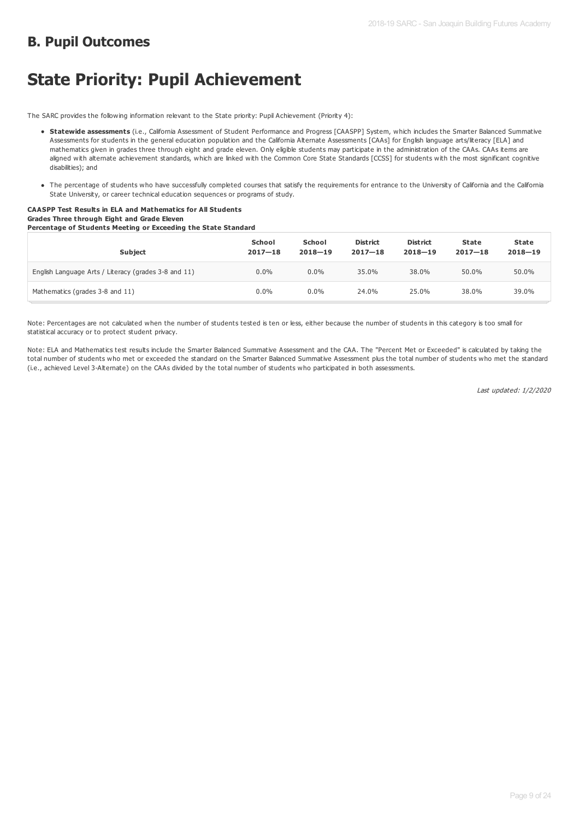# **B. Pupil Outcomes**

# **State Priority: Pupil Achievement**

The SARC provides the following information relevant to the State priority: Pupil Achievement (Priority 4):

- **Statewide assessments** (i.e., California Assessment of Student Performance and Progress [CAASPP] System, which includes the Smarter Balanced Summative Assessments for students in the general education population and the California Alternate Assessments [CAAs] for English language arts/literacy [ELA] and mathematics given in grades three through eight and grade eleven. Only eligible students may participate in the administration of the CAAs. CAAs items are aligned with alternate achievement standards, which are linked with the Common Core State Standards [CCSS] for students with the most significant cognitive disabilities); and
- The percentage of students who have successfully completed courses that satisfy the requirements for entrance to the University of California and the California State University, or career technical education sequences or programs of study.

#### **CAASPP Test Results in ELA and Mathematics for All Students Grades Three through Eight and Grade Eleven Percentage of Students Meeting or Exceeding the State Standard**

| $-$<br><b>Subject</b>                                | School<br>$2017 - 18$ | School<br>$2018 - 19$ | <b>District</b><br>$2017 - 18$ | <b>District</b><br>$2018 - 19$ | State<br>$2017 - 18$ | State<br>$2018 - 19$ |
|------------------------------------------------------|-----------------------|-----------------------|--------------------------------|--------------------------------|----------------------|----------------------|
| English Language Arts / Literacy (grades 3-8 and 11) | $0.0\%$               | $0.0\%$               | 35.0%                          | 38.0%                          | 50.0%                | 50.0%                |
| Mathematics (grades 3-8 and 11)                      | $0.0\%$               | $0.0\%$               | 24.0%                          | 25.0%                          | 38.0%                | 39.0%                |

Note: Percentages are not calculated when the number of students tested is ten or less, either because the number of students in this category is too small for statistical accuracy or to protect student privacy.

Note: ELA and Mathematics test results include the Smarter Balanced Summative Assessment and the CAA. The "Percent Met or Exceeded" is calculated by taking the total number of students who met or exceeded the standard on the Smarter Balanced Summative Assessment plus the total number of students who met the standard (i.e., achieved Level 3-Alternate) on the CAAs divided by the total number of students who participated in both assessments.

Last updated: 1/2/2020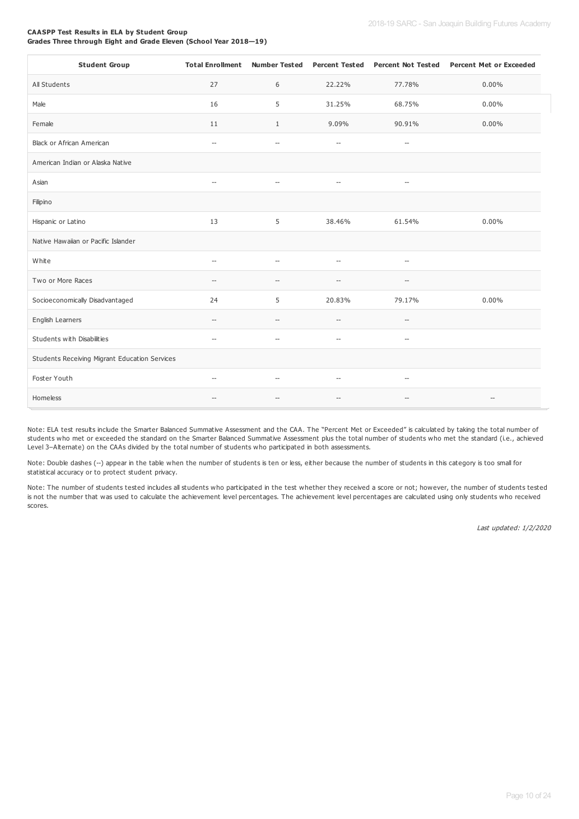#### **CAASPP Test Results in ELA by Student Group Grades Three through Eight and Grade Eleven (School Year 2018—19)**

| <b>Student Group</b>                          | <b>Total Enrollment</b>             |                                                     | Number Tested  Percent Tested |                                                     | Percent Not Tested  Percent Met or Exceeded         |
|-----------------------------------------------|-------------------------------------|-----------------------------------------------------|-------------------------------|-----------------------------------------------------|-----------------------------------------------------|
| All Students                                  | 27                                  | 6                                                   | 22.22%                        | 77.78%                                              | $0.00\%$                                            |
| Male                                          | 16                                  | 5                                                   | 31.25%                        | 68.75%                                              | $0.00\%$                                            |
| Female                                        | 11                                  | $\mathbf{1}$                                        | 9.09%                         | 90.91%                                              | $0.00\%$                                            |
| Black or African American                     | $\hspace{0.05cm} -\hspace{0.05cm}$  | $\hspace{0.05cm} -\hspace{0.05cm} -\hspace{0.05cm}$ | $\hspace{0.05cm} \ldots$      | $-\hbox{--}$                                        |                                                     |
| American Indian or Alaska Native              |                                     |                                                     |                               |                                                     |                                                     |
| Asian                                         | $\hspace{0.05cm} -\hspace{0.05cm}$  | $\qquad \qquad -$                                   | $\hspace{0.05cm} \ldots$      | $\hspace{0.05cm} -\hspace{0.05cm} -\hspace{0.05cm}$ |                                                     |
| Filipino                                      |                                     |                                                     |                               |                                                     |                                                     |
| Hispanic or Latino                            | 13                                  | 5                                                   | 38.46%                        | 61.54%                                              | $0.00\%$                                            |
| Native Hawaiian or Pacific Islander           |                                     |                                                     |                               |                                                     |                                                     |
| White                                         | $\overline{a}$                      | $\overline{a}$                                      | $\overline{a}$                | $\overline{\phantom{a}}$                            |                                                     |
| Two or More Races                             | $\overline{\phantom{a}}$            | $\overline{\phantom{a}}$                            | $\overline{\phantom{a}}$      | --                                                  |                                                     |
| Socioeconomically Disadvantaged               | 24                                  | 5                                                   | 20.83%                        | 79.17%                                              | $0.00\%$                                            |
| English Learners                              | $\overline{\phantom{a}}$            | $\hspace{0.05cm} -\hspace{0.05cm} -\hspace{0.05cm}$ | $\hspace{0.05cm} \ldots$      | $\hspace{0.05cm} -\hspace{0.05cm} -\hspace{0.05cm}$ |                                                     |
| Students with Disabilities                    | $\overline{\phantom{a}}$            | $\overline{\phantom{a}}$                            | $\hspace{0.05cm} \ldots$      | $\overline{\phantom{a}}$                            |                                                     |
| Students Receiving Migrant Education Services |                                     |                                                     |                               |                                                     |                                                     |
| Foster Youth                                  | $\hspace{0.05cm}$ $\hspace{0.05cm}$ | $\hspace{0.05cm} -\hspace{0.05cm}$                  | $\overline{\phantom{a}}$      | --                                                  |                                                     |
| Homeless                                      | --                                  | $\overline{\phantom{a}}$                            | $-$                           | --                                                  | $\hspace{0.05cm} -\hspace{0.05cm} -\hspace{0.05cm}$ |

Note: ELA test results include the Smarter Balanced Summative Assessment and the CAA. The "Percent Met or Exceeded" is calculated by taking the total number of students who met or exceeded the standard on the Smarter Balanced Summative Assessment plus the total number of students who met the standard (i.e., achieved Level 3-Alternate) on the CAAs divided by the total number of students who participated in both assessments.

Note: Double dashes (--) appear in the table when the number of students is ten or less, either because the number of students in this category is too small for statistical accuracy or to protect student privacy.

Note: The number of students tested includes all students who participated in the test whether they received a score or not; however, the number of students tested is not the number that was used to calculate the achievement level percentages. The achievement level percentages are calculated using only students who received scores.

Last updated: 1/2/2020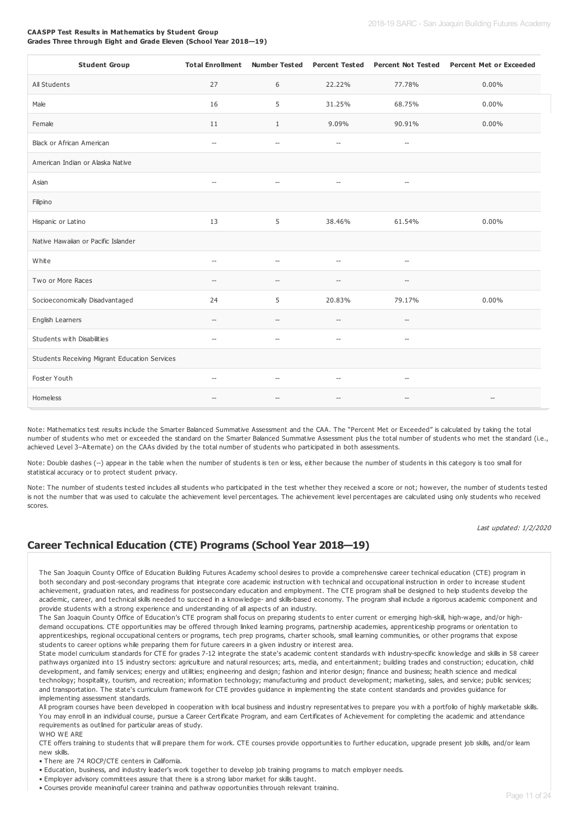#### **CAASPP Test Results in Mathematics by Student Group Grades Three through Eight and Grade Eleven (School Year 2018—19)**

| <b>Student Group</b>                          | <b>Total Enrollment</b>  |                          | <b>Number Tested</b> Percent Tested | <b>Percent Not Tested</b>                           | <b>Percent Met or Exceeded</b> |
|-----------------------------------------------|--------------------------|--------------------------|-------------------------------------|-----------------------------------------------------|--------------------------------|
| All Students                                  | 27                       | 6                        | 22.22%                              | 77.78%                                              | $0.00\%$                       |
| Male                                          | 16                       | 5                        | 31.25%                              | 68.75%                                              | $0.00\%$                       |
| Female                                        | 11                       | $\mathbf{1}$             | 9.09%                               | 90.91%                                              | 0.00%                          |
| Black or African American                     | $\overline{\phantom{a}}$ | $\overline{\phantom{a}}$ | $\hspace{0.05cm} \ldots$            | $\overline{\phantom{a}}$                            |                                |
| American Indian or Alaska Native              |                          |                          |                                     |                                                     |                                |
| Asian                                         | $\overline{\phantom{a}}$ |                          | $\overline{a}$                      | $\overline{\phantom{a}}$                            |                                |
| Filipino                                      |                          |                          |                                     |                                                     |                                |
| Hispanic or Latino                            | 13                       | 5                        | 38.46%                              | 61.54%                                              | $0.00\%$                       |
| Native Hawaiian or Pacific Islander           |                          |                          |                                     |                                                     |                                |
| White                                         | $\overline{\phantom{a}}$ | $\overline{\phantom{a}}$ | $\overline{\phantom{a}}$            | $\hspace{0.05cm} -\hspace{0.05cm} -\hspace{0.05cm}$ |                                |
| Two or More Races                             | $\sim$                   | $\sim$                   | $\sim$                              | --                                                  |                                |
| Socioeconomically Disadvantaged               | 24                       | 5                        | 20.83%                              | 79.17%                                              | $0.00\%$                       |
| English Learners                              | $\overline{\phantom{a}}$ | $\overline{\phantom{a}}$ | $\overline{\phantom{a}}$            | $\overline{\phantom{a}}$                            |                                |
| Students with Disabilities                    | $\overline{\phantom{a}}$ | $\overline{a}$           | $\overline{\phantom{a}}$            | $\overline{\phantom{a}}$                            |                                |
| Students Receiving Migrant Education Services |                          |                          |                                     |                                                     |                                |
| Foster Youth                                  | $\overline{\phantom{a}}$ | $\overline{\phantom{a}}$ | $\overline{a}$                      | $-\!$                                               |                                |
| Homeless                                      | $\overline{\phantom{a}}$ | $\overline{\phantom{a}}$ | $\overline{\phantom{a}}$            | $\overline{\phantom{a}}$                            | $\qquad \qquad -$              |

Note: Mathematics test results include the Smarter Balanced Summative Assessment and the CAA. The "Percent Met or Exceeded" is calculated by taking the total number of students who met or exceeded the standard on the Smarter Balanced Summative Assessment plus the total number of students who met the standard (i.e., achieved Level 3–Alternate) on the CAAs divided by the total number of students who participated in both assessments.

Note: Double dashes (--) appear in the table when the number of students is ten or less, either because the number of students in this category is too small for statistical accuracy or to protect student privacy.

Note: The number of students tested includes all students who participated in the test whether they received a score or not; however, the number of students tested is not the number that was used to calculate the achievement level percentages. The achievement level percentages are calculated using only students who received scores.

Last updated: 1/2/2020

## **Career Technical Education (CTE) Programs (School Year 2018—19)**

The San Joaquin County Office of Education Building Futures Academy school desires to provide a comprehensive career technical education (CTE) program in both secondary and post-secondary programs that integrate core academic instruction with technical and occupational instruction in order to increase student achievement, graduation rates, and readiness for postsecondary education and employment. The CTE program shall be designed to help students develop the academic, career, and technical skills needed to succeed in a knowledge- and skills-based economy. The program shall include a rigorous academic component and provide students with a strong experience and understanding of all aspects of an industry.

The San Joaquin County Office of Education's CTE program shall focus on preparing students to enter current or emerging high-skill, high-wage, and/or highdemand occupations. CTE opportunities may be offered through linked learning programs, partnership academies, apprenticeship programs or orientation to apprenticeships, regional occupational centers or programs, tech prep programs, charter schools, small learning communities, or other programs that expose students to career options while preparing them for future careers in a given industry or interest area.

State model curriculum standards for CTE for grades 7-12 integrate the state's academic content standards with industry-specific knowledge and skills in 58 career pathways organized into 15 industry sectors: agriculture and natural resources; arts, media, and entertainment; building trades and construction; education, child development, and family services; energy and utilities; engineering and design; fashion and interior design; finance and business; health science and medical technology; hospitality, tourism, and recreation; information technology; manufacturing and product development; marketing, sales, and service; public services; and transportation. The state's curriculum framework for CTE provides guidance in implementing the state content standards and provides guidance for implementing assessment standards.

All program courses have been developed in cooperation with local business and industry representatives to prepare you with a portfolio of highly marketable skills. You may enroll in an individual course, pursue a Career Certificate Program, and earn Certificates of Achievement for completing the academic and attendance requirements as outlined for particular areas of study. WHO WE ARE

CTE offers training to students that will prepare them for work. CTE courses provide opportunities to further education, upgrade present job skills, and/or learn new skills.

• There are 74 ROCP/CTE centers in California.

- Education, business, and industry leader's work together to develop job training programs to match employer needs.
- Employer advisory committees assure that there is a strong labor market for skills taught.
- Courses provide meaningful career training and pathway opportunities through relevant training.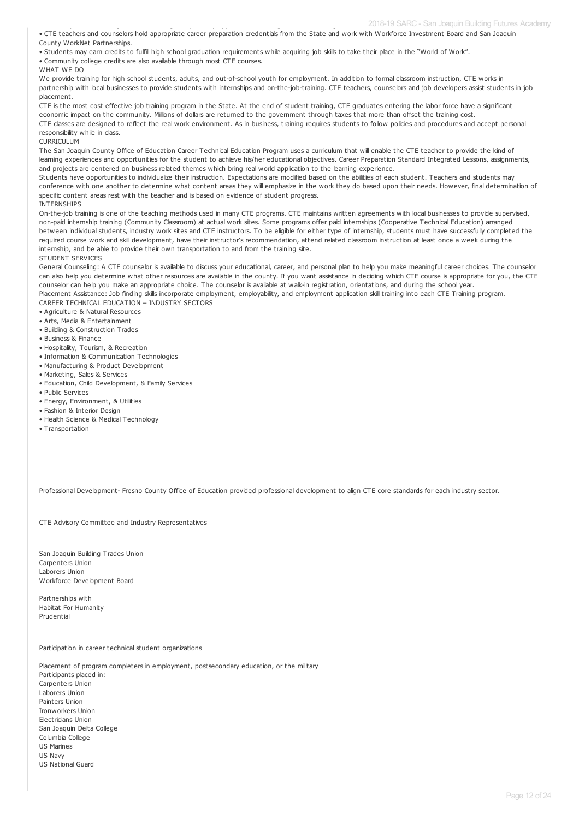• CTE teachers and counselors hold appropriate career preparation credentials from the State and work with Workforce Investment Board and San Joaquin County WorkNet Partnerships.

• Students may earn credits to fulfill high school graduation requirements while acquiring job skills to take their place in the "World of Work".

• Community college credits are also available through most CTE courses.

• Courses provide meaningful career training and pathway opportunities through relevant training.

WHAT WE DO

We provide training for high school students, adults, and out-of-school youth for employment. In addition to formal classroom instruction, CTE works in partnership with local businesses to provide students with internships and on-the-job-training. CTE teachers, counselors and job developers assist students in job placement.

CTE is the most cost effective job training program in the State. At the end of student training, CTE graduates entering the labor force have a significant economic impact on the community. Millions of dollars are returned to the government through taxes that more than offset the training cost.

CTE classes are designed to reflect the real work environment. As in business, training requires students to follow policies and procedures and accept personal responsibility while in class.

CURRICULUM

The San Joaquin County Office of Education Career Technical Education Program uses a curriculum that will enable the CTE teacher to provide the kind of learning experiences and opportunities for the student to achieve his/her educational objectives. Career Preparation Standard Integrated Lessons, assignments, and projects are centered on business related themes which bring real world application to the learning experience.

Students have opportunities to individualize their instruction. Expectations are modified based on the abilities of each student. Teachers and students may conference with one another to determine what content areas they will emphasize in the work they do based upon their needs. However, final determination of specific content areas rest with the teacher and is based on evidence of student progress.

INTERNSHIPS

On-the-job training is one of the teaching methods used in many CTE programs. CTE maintains written agreements with local businesses to provide supervised, non-paid internship training (Community Classroom) at actual work sites. Some programs offer paid internships (Cooperative Technical Education) arranged between individual students, industry work sites and CTE instructors. To be eligible for either type of internship, students must have successfully completed the required course work and skill development, have their instructor's recommendation, attend related classroom instruction at least once a week during the internship, and be able to provide their own transportation to and from the training site. STUDENT SERVICES

General Counseling: A CTE counselor is available to discuss your educational, career, and personal plan to help you make meaningful career choices. The counselor can also help you determine what other resources are available in the county. If you want assistance in deciding which CTE course is appropriate for you, the CTE counselor can help you make an appropriate choice. The counselor is available at walk-in registration, orientations, and during the school year.

Placement Assistance: Job finding skills incorporate employment, employability, and employment application skill training into each CTE Training program. CAREER TECHNICAL EDUCATION – INDUSTRY SECTORS

• Agriculture & Natural Resources

• Arts, Media & Entertainment

- Building & Construction Trades
- Business & Finance
- Hospitality, Tourism, & Recreation
- Information & Communication Technologies
- Manufacturing & Product Development
- Marketing, Sales & Services
- Education, Child Development, & Family Services
- Public Services
- Energy, Environment, & Utilities
- Fashion & Interior Design
- Health Science & Medical Technology
- Transportation

Professional Development- Fresno County Office of Education provided professional development to align CTE core standards for each industry sector.

CTE Advisory Committee and Industry Representatives

San Joaquin Building Trades Union Carnenters Union Laborers Union Workforce Development Board

Partnerships with Habitat For Humanity Prudential

Participation in career technical student organizations

Placement of program completers in employment, postsecondary education, or the military Participants placed in: Carnenters Union Laborers Union Painters Union Ironworkers Union Electricians Union San Joaquin Delta College Columbia College US Marines US Navy US National Guard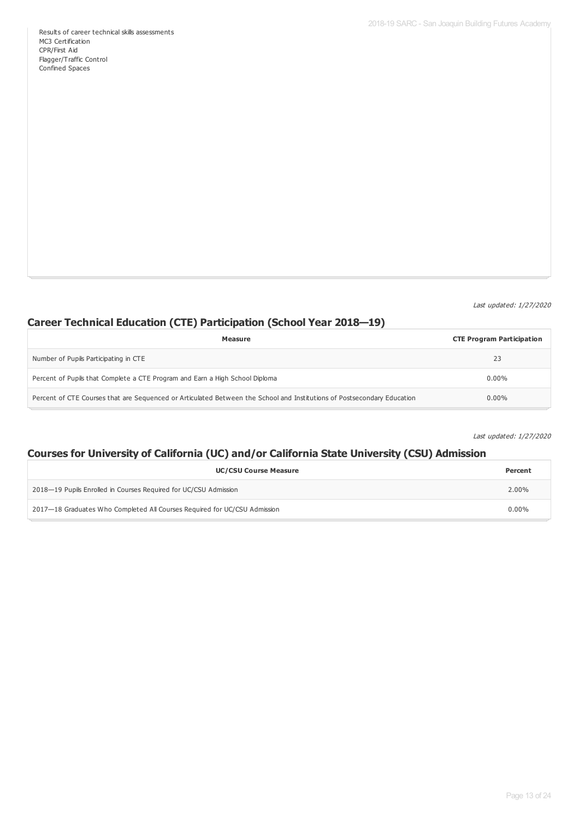Last updated: 1/27/2020

# **Career Technical Education (CTE) Participation (School Year 2018—19)**

| Measure                                                                                                                 | <b>CTE Program Participation</b> |
|-------------------------------------------------------------------------------------------------------------------------|----------------------------------|
| Number of Pupils Participating in CTE                                                                                   | 23                               |
| Percent of Pupils that Complete a CTE Program and Earn a High School Diploma                                            | $0.00\%$                         |
| Percent of CTE Courses that are Sequenced or Articulated Between the School and Institutions of Postsecondary Education | $0.00\%$                         |

Last updated: 1/27/2020

# **Courses for University of California (UC) and/or California State University (CSU) Admission**

| <b>UC/CSU Course Measure</b>                                              | Percent  |
|---------------------------------------------------------------------------|----------|
| 2018–19 Pupils Enrolled in Courses Required for UC/CSU Admission          | 2.00%    |
| 2017-18 Graduates Who Completed All Courses Required for UC/CSU Admission | $0.00\%$ |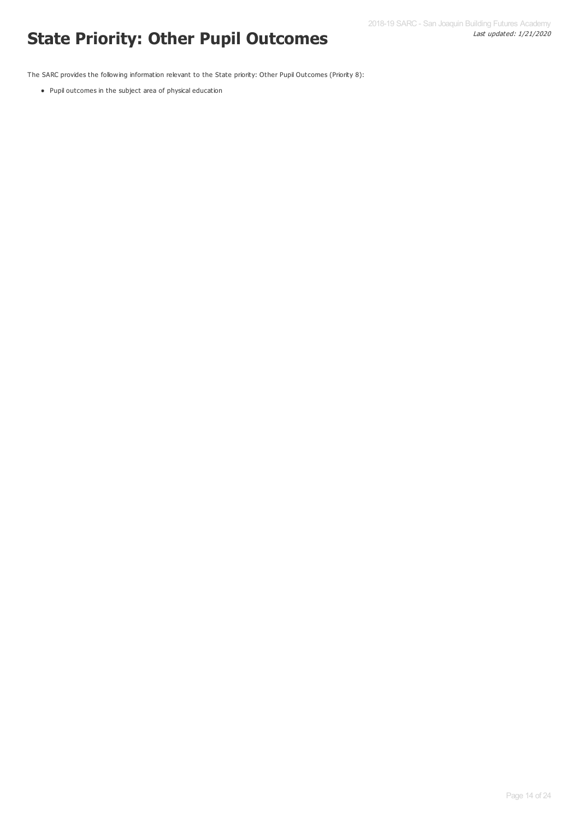# Last updated: 1/21/2020 **State Priority: Other Pupil Outcomes**

The SARC provides the following information relevant to the State priority: Other Pupil Outcomes (Priority 8):

Pupil outcomes in the subject area of physical education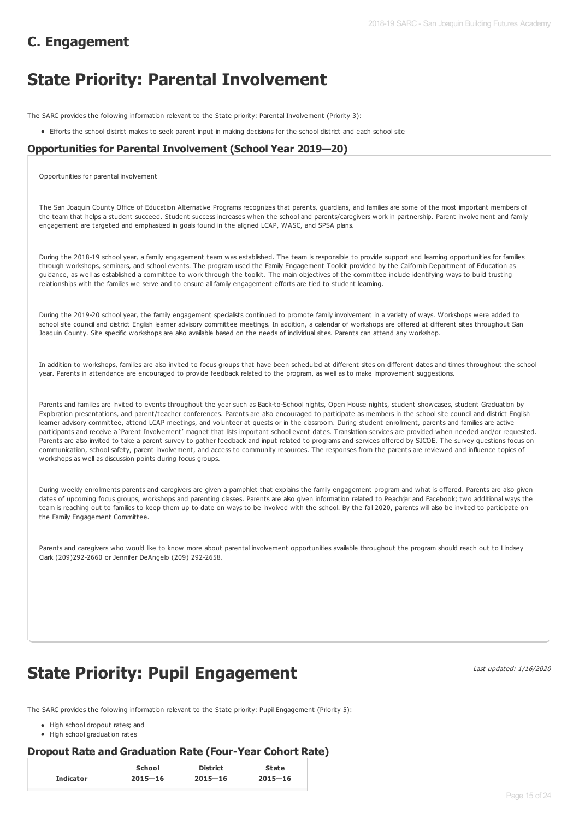# **C. Engagement**

# **State Priority: Parental Involvement**

The SARC provides the following information relevant to the State priority: Parental Involvement (Priority 3):

Efforts the school district makes to seek parent input in making decisions for the school district and each school site

### **Opportunities for Parental Involvement (School Year 2019—20)**

Opportunities for parental involvement

The San Joaquin County Office of Education Alternative Programs recognizes that parents, guardians, and families are some of the most important members of the team that helps a student succeed. Student success increases when the school and parents/caregivers work in partnership. Parent involvement and family engagement are targeted and emphasized in goals found in the aligned LCAP, WASC, and SPSA plans.

During the 2018-19 school year, a family engagement team was established. The team is responsible to provide support and learning opportunities for families through workshops, seminars, and school events. The program used the Family Engagement Toolkit provided by the California Department of Education as guidance, as well as established a committee to work through the toolkit. The main objectives of the committee include identifying ways to build trusting relationships with the families we serve and to ensure all family engagement efforts are tied to student learning.

During the 2019-20 school year, the family engagement specialists continued to promote family involvement in a variety of ways. Workshops were added to school site council and district English learner advisory committee meetings. In addition, a calendar of workshops are offered at different sites throughout San Joaquin County. Site specific workshops are also available based on the needs of individual sites. Parents can attend any workshop.

In addition to workshops, families are also invited to focus groups that have been scheduled at different sites on different dates and times throughout the school year. Parents in attendance are encouraged to provide feedback related to the program, as well as to make improvement suggestions.

Parents and families are invited to events throughout the year such as Back-to-School nights, Open House nights, student showcases, student Graduation by Exploration presentations, and parent/teacher conferences. Parents are also encouraged to participate as members in the school site council and district English learner advisory committee, attend LCAP meetings, and volunteer at quests or in the classroom. During student enrollment, parents and families are active participants and receive a 'Parent Involvement' magnet that lists important school event dates. Translation services are provided when needed and/or requested. Parents are also invited to take a parent survey to gather feedback and input related to programs and services offered by SJCOE. The survey questions focus on communication, school safety, parent involvement, and access to community resources. The responses from the parents are reviewed and influence topics of workshops as well as discussion points during focus groups.

During weekly enrollments parents and caregivers are given a pamphlet that explains the family engagement program and what is offered. Parents are also given dates of upcoming focus groups, workshops and parenting classes. Parents are also given information related to Peachjar and Facebook; two additional ways the team is reaching out to families to keep them up to date on ways to be involved with the school. By the fall 2020, parents will also be invited to participate on the Family Engagement Committee.

Parents and caregivers who would like to know more about parental involvement opportunities available throughout the program should reach out to Lindsey Clark (209)292-2660 or Jennifer DeAngelo (209) 292-2658.

# **State Priority: Pupil Engagement**

Last updated: 1/16/2020

The SARC provides the following information relevant to the State priority: Pupil Engagement (Priority 5):

- High school dropout rates; and
- High school graduation rates

### **Dropout Rate and Graduation Rate (Four-Year Cohort Rate)**

|                  | School      | <b>District</b> | <b>State</b> |
|------------------|-------------|-----------------|--------------|
| <b>Indicator</b> | $2015 - 16$ | $2015 - 16$     | $2015 - 16$  |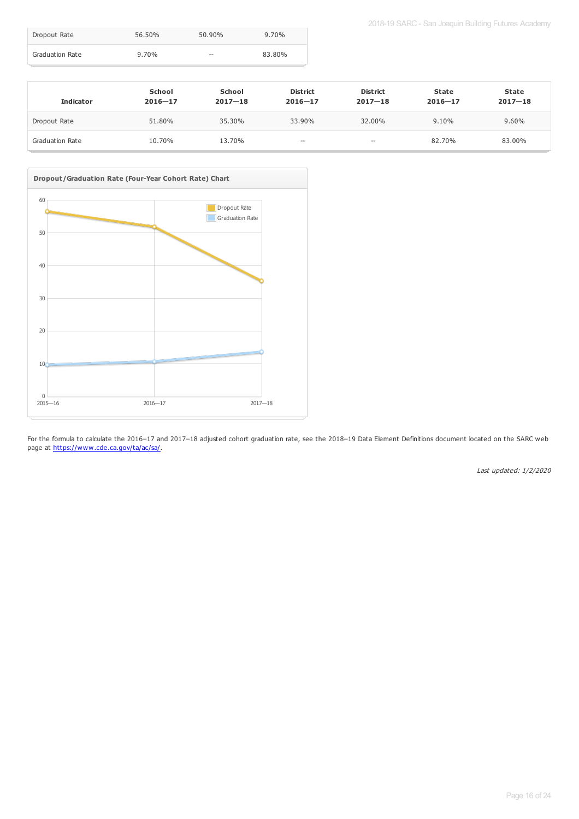| Dropout Rate    | 56.50%   | 50.90% | $9.70\%$ |
|-----------------|----------|--------|----------|
| Graduation Rate | $9.70\%$ | $- -$  | 83.80%   |

| <b>Indicator</b> | School<br>$2016 - 17$ | School<br>$2017 - 18$ | <b>District</b><br>$2016 - 17$ | <b>District</b><br>$2017 - 18$ | State<br>$2016 - 17$ | <b>State</b><br>$2017 - 18$ |
|------------------|-----------------------|-----------------------|--------------------------------|--------------------------------|----------------------|-----------------------------|
| Dropout Rate     | 51.80%                | 35.30%                | 33.90%                         | 32.00%                         | 9.10%                | 9.60%                       |
| Graduation Rate  | 10.70%                | 13.70%                | $\hspace{0.05cm} \ldots$       | $\hspace{0.05cm} -$            | 82.70%               | 83.00%                      |



For the formula to calculate the 2016–17 and 2017–18 adjusted cohort graduation rate, see the 2018–19 Data Element Definitions document located on the SARC web page at <https://www.cde.ca.gov/ta/ac/sa/>.

Last updated: 1/2/2020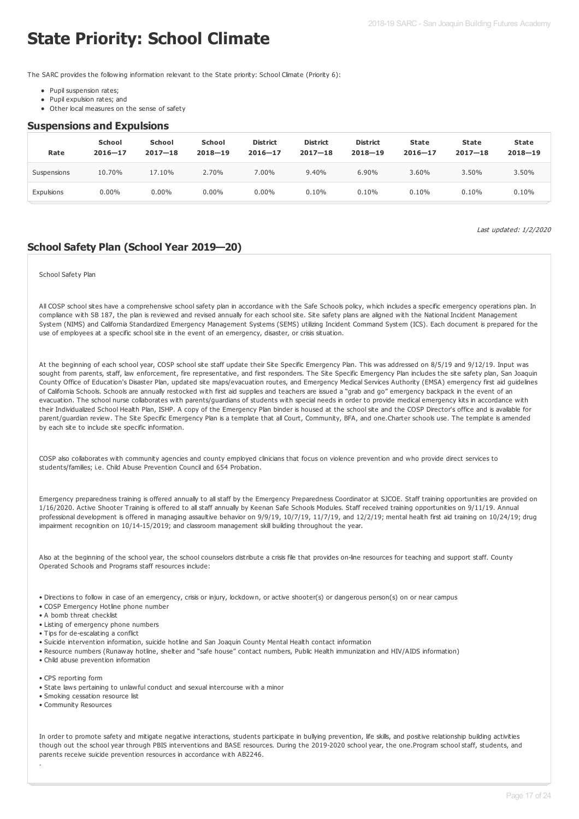# **State Priority: School Climate**

The SARC provides the following information relevant to the State priority: School Climate (Priority 6):

- Pupil suspension rates;
- Pupil expulsion rates; and
- Other local measures on the sense of safety

#### **Suspensions and Expulsions**

| Rate        | <b>School</b><br>$2016 - 17$ | <b>School</b><br>$2017 - 18$ | <b>School</b><br>$2018 - 19$ | <b>District</b><br>$2016 - 17$ | <b>District</b><br>$2017 - 18$ | <b>District</b><br>$2018 - 19$ | State<br>$2016 - 17$ | <b>State</b><br>$2017 - 18$ | <b>State</b><br>$2018 - 19$ |
|-------------|------------------------------|------------------------------|------------------------------|--------------------------------|--------------------------------|--------------------------------|----------------------|-----------------------------|-----------------------------|
| Suspensions | 10.70%                       | 17.10%                       | 2.70%                        | 7.00%                          | 9.40%                          | 6.90%                          | 3.60%                | 3.50%                       | 3.50%                       |
| Expulsions  | $0.00\%$                     | $0.00\%$                     | $0.00\%$                     | $0.00\%$                       | 0.10%                          | 0.10%                          | 0.10%                | 0.10%                       | 0.10%                       |

Last updated: 1/2/2020

### **School Safety Plan (School Year 2019—20)**

#### School Safety Plan

All COSP school sites have a comprehensive school safety plan in accordance with the Safe Schools policy, which includes a specific emergency operations plan. In compliance with SB 187, the plan is reviewed and revised annually for each school site. Site safety plans are aligned with the National Incident Management System (NIMS) and California Standardized Emergency Management Systems (SEMS) utilizing Incident Command System (ICS). Each document is prepared for the use of employees at a specific school site in the event of an emergency, disaster, or crisis situation.

At the beginning of each school year, COSP school site staff update their Site Specific Emergency Plan. This was addressed on 8/5/19 and 9/12/19. Input was sought from parents, staff, law enforcement, fire representative, and first responders. The Site Specific Emergency Plan includes the site safety plan, San Joaquin County Office of Education's Disaster Plan, updated site maps/evacuation routes, and Emergency Medical Services Authority (EMSA) emergency first aid guidelines of California Schools. Schools are annually restocked with first aid supplies and teachers are issued a "grab and go" emergency backpack in the event of an evacuation. The school nurse collaborates with parents/guardians of students with special needs in order to provide medical emergency kits in accordance with their Individualized School Health Plan, ISHP. A copy of the Emergency Plan binder is housed at the school site and the COSP Director's office and is available for parent/guardian review. The Site Specific Emergency Plan is a template that all Court, Community, BFA, and one.Charter schools use. The template is amended by each site to include site specific information.

COSP also collaborates with community agencies and county employed clinicians that focus on violence prevention and who provide direct services to students/families; i.e. Child Abuse Prevention Council and 654 Probation.

Emergency preparedness training is offered annually to all staff by the Emergency Preparedness Coordinator at SJCOE. Staff training opportunities are provided on 1/16/2020. Active Shooter Training is offered to all staff annually by Keenan Safe Schools Modules. Staff received training opportunities on 9/11/19. Annual professional development is offered in managing assaultive behavior on 9/9/19, 10/7/19, 11/7/19, and 12/2/19; mental health first aid training on 10/24/19; drug impairment recognition on 10/14-15/2019; and classroom management skill building throughout the year.

Also at the beginning of the school year, the school counselors distribute a crisis file that provides on-line resources for teaching and support staff. County Operated Schools and Programs staff resources include:

• Directions to follow in case of an emergency, crisis or injury, lockdown, or active shooter(s) or dangerous person(s) on or near campus

- COSP Emergency Hotline phone number
- A bomb threat checklist
- Listing of emergency phone numbers
- Tips for de-escalating a conflict
- Suicide intervention information, suicide hotline and San Joaquin County Mental Health contact information
- Resource numbers (Runaway hotline, shelter and "safe house" contact numbers, Public Health immunization and HIV/AIDS information)
- Child abuse prevention information
- CPS reporting form
- State laws pertaining to unlawful conduct and sexual intercourse with a minor
- Smoking cessation resource list
- Community Resources

.

In order to promote safety and mitigate negative interactions, students participate in bullying prevention, life skills, and positive relationship building activities though out the school year through PBIS interventions and BASE resources. During the 2019-2020 school year, the one.Program school staff, students, and parents receive suicide prevention resources in accordance with AB2246.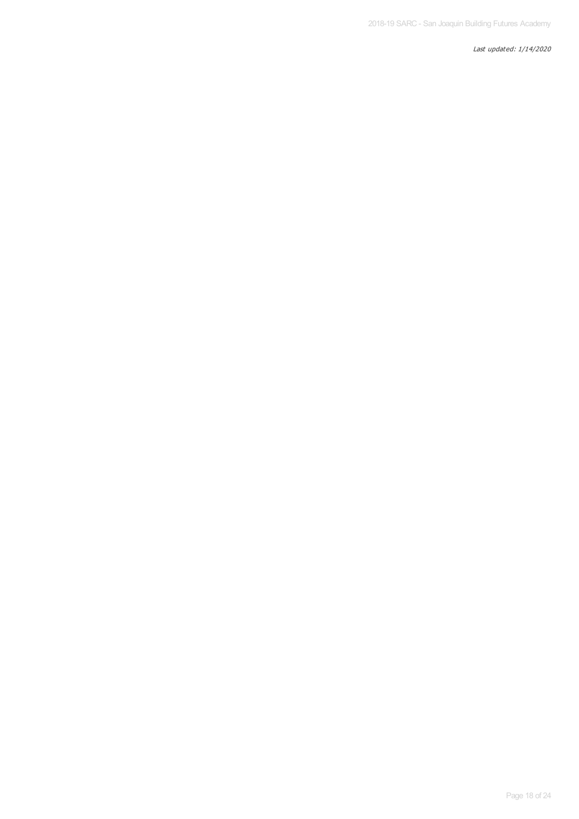Last updated: 1/14/2020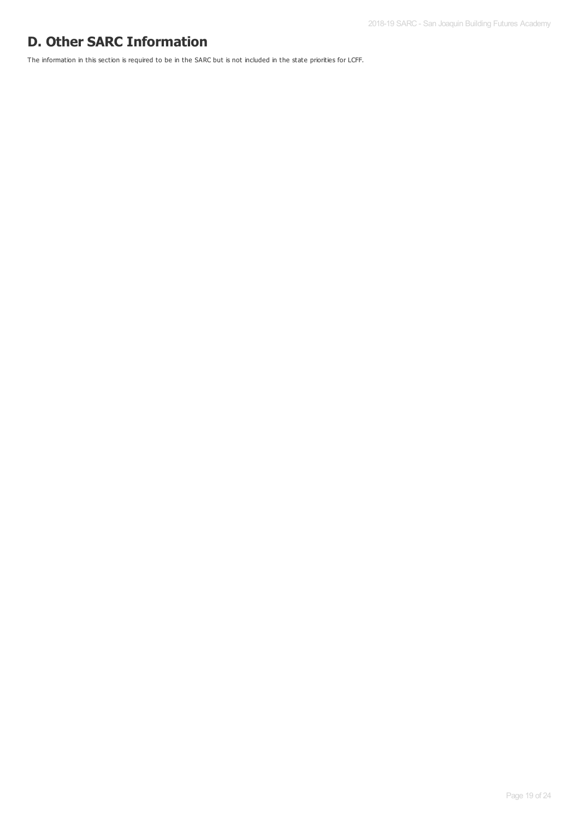# **D. Other SARC Information**

The information in this section is required to be in the SARC but is not included in the state priorities for LCFF.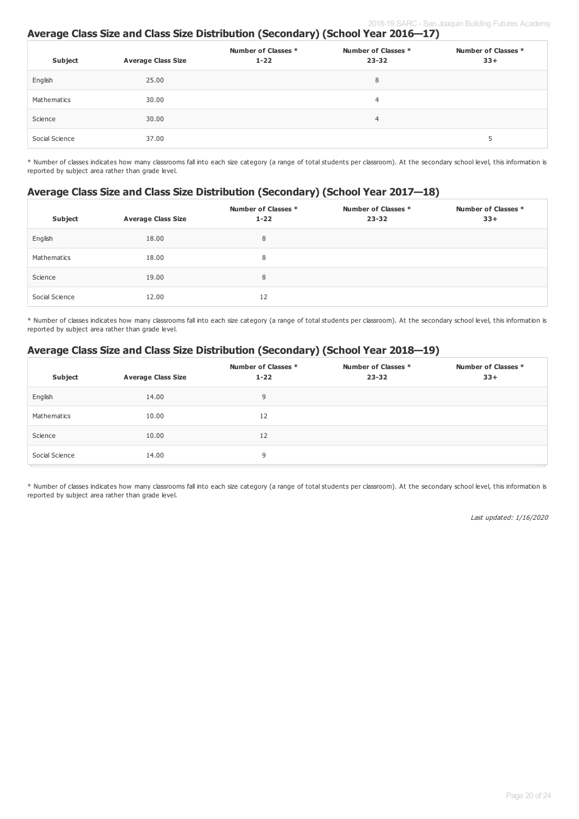## **Average Class Size and Class Size Distribution (Secondary) (School Year 2016—17)**

| Subject        | <b>Average Class Size</b> | Number of Classes *<br>$1 - 22$ | Number of Classes *<br>$23 - 32$ | Number of Classes *<br>$33+$ |
|----------------|---------------------------|---------------------------------|----------------------------------|------------------------------|
| English        | 25.00                     |                                 | 8                                |                              |
| Mathematics    | 30.00                     |                                 | 4                                |                              |
| Science        | 30.00                     |                                 | $\overline{4}$                   |                              |
| Social Science | 37.00                     |                                 |                                  | э                            |

\* Number of classes indicates how many classrooms fall into each size category (a range of total students per classroom). At the secondary school level, this information is reported by subject area rather than grade level.

### **Average Class Size and Class Size Distribution (Secondary) (School Year 2017—18)**

| Subject        | <b>Average Class Size</b> | Number of Classes *<br>$1 - 22$ | Number of Classes *<br>$23 - 32$ | Number of Classes *<br>$33+$ |
|----------------|---------------------------|---------------------------------|----------------------------------|------------------------------|
| English        | 18.00                     | 8                               |                                  |                              |
| Mathematics    | 18.00                     | 8                               |                                  |                              |
| Science        | 19.00                     | 8                               |                                  |                              |
| Social Science | 12.00                     | 12                              |                                  |                              |

\* Number of classes indicates how many classrooms fall into each size category (a range of total students per classroom). At the secondary school level, this information is reported by subject area rather than grade level.

### **Average Class Size and Class Size Distribution (Secondary) (School Year 2018—19)**

| Subject        | <b>Average Class Size</b> | Number of Classes *<br>$1 - 22$ | Number of Classes *<br>$23 - 32$ | Number of Classes *<br>$33+$ |
|----------------|---------------------------|---------------------------------|----------------------------------|------------------------------|
| English        | 14.00                     | 9                               |                                  |                              |
| Mathematics    | 10.00                     | 12                              |                                  |                              |
| Science        | 10.00                     | 12                              |                                  |                              |
| Social Science | 14.00                     | 9                               |                                  |                              |

\* Number of classes indicates how many classrooms fall into each size category (a range of total students per classroom). At the secondary school level, this information is reported by subject area rather than grade level.

Last updated: 1/16/2020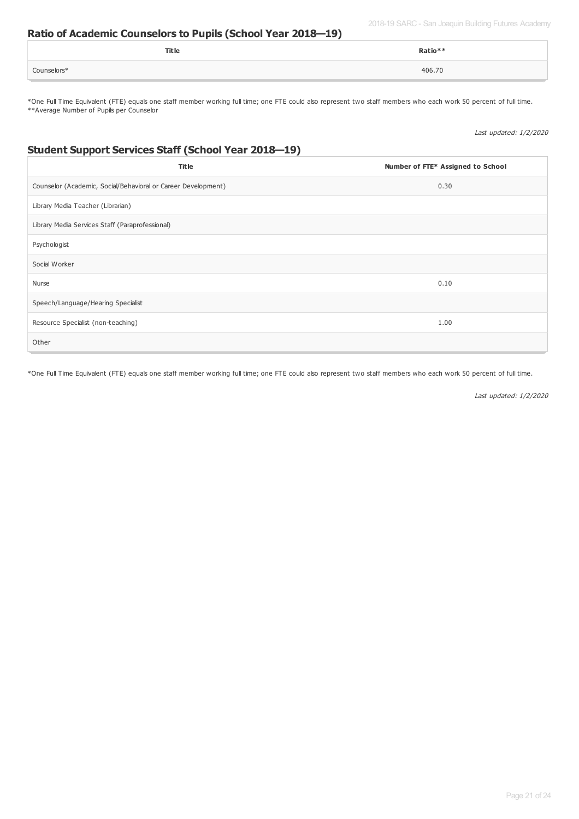2018-19 SARC - San Joaquin Building Futures Academy

### **Ratio of Academic Counselors to Pupils (School Year 2018—19)**

|             | Title | Ratio** |
|-------------|-------|---------|
| Counselors* |       | 406.70  |

\*One Full Time Equivalent (FTE) equals one staff member working full time; one FTE could also represent two staff members who each work 50 percent of full time. \*\*Average Number of Pupils per Counselor

Last updated: 1/2/2020

## **Student Support Services Staff (School Year 2018—19)**

| <b>Title</b>                                                  | Number of FTE* Assigned to School |
|---------------------------------------------------------------|-----------------------------------|
| Counselor (Academic, Social/Behavioral or Career Development) | 0.30                              |
| Library Media Teacher (Librarian)                             |                                   |
| Library Media Services Staff (Paraprofessional)               |                                   |
| Psychologist                                                  |                                   |
| Social Worker                                                 |                                   |
| Nurse                                                         | 0.10                              |
| Speech/Language/Hearing Specialist                            |                                   |
| Resource Specialist (non-teaching)                            | 1.00                              |
| Other                                                         |                                   |

\*One Full Time Equivalent (FTE) equals one staff member working full time; one FTE could also represent two staff members who each work 50 percent of full time.

Last updated: 1/2/2020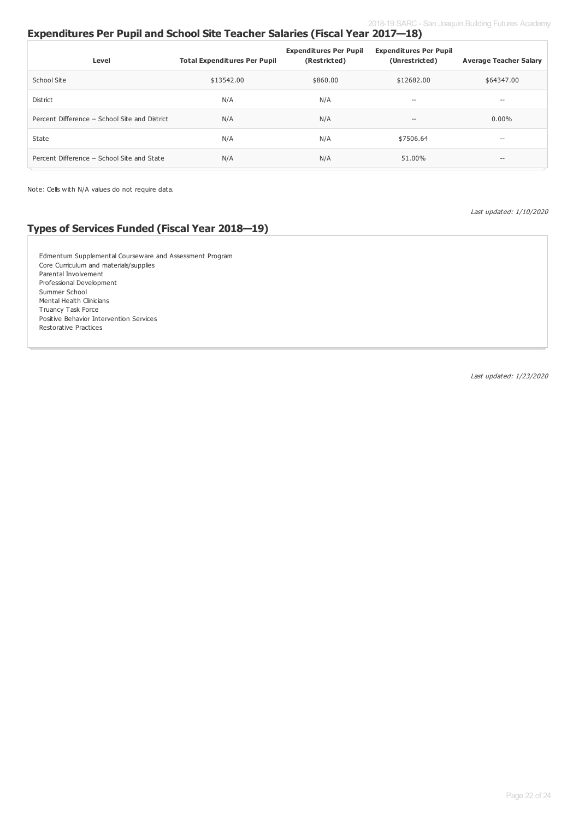# **Expenditures Per Pupil and School Site Teacher Salaries (Fiscal Year 2017—18)**

| Level                                         | <b>Total Expenditures Per Pupil</b> | <b>Expenditures Per Pupil</b><br>(Restricted) | <b>Expenditures Per Pupil</b><br>(Unrestricted) | <b>Average Teacher Salary</b> |
|-----------------------------------------------|-------------------------------------|-----------------------------------------------|-------------------------------------------------|-------------------------------|
| School Site                                   | \$13542.00                          | \$860,00                                      | \$12682.00                                      | \$64347.00                    |
| District                                      | N/A                                 | N/A                                           | $- -$                                           | $- -$                         |
| Percent Difference - School Site and District | N/A                                 | N/A                                           | $- -$                                           | $0.00\%$                      |
| State                                         | N/A                                 | N/A                                           | \$7506.64                                       | --                            |
| Percent Difference - School Site and State    | N/A                                 | N/A                                           | 51.00%                                          | $-\!$                         |

Note: Cells with N/A values do not require data.

Last updated: 1/10/2020

## **Types of Services Funded (Fiscal Year 2018—19)**

Edmentum Supplemental Courseware and Assessment Program Core Curriculum and materials/supplies Parental Involvement Professional Development Summer School Mental Health Clinicians Truancy Task Force Positive Behavior Intervention Services Restorative Practices

Last updated: 1/23/2020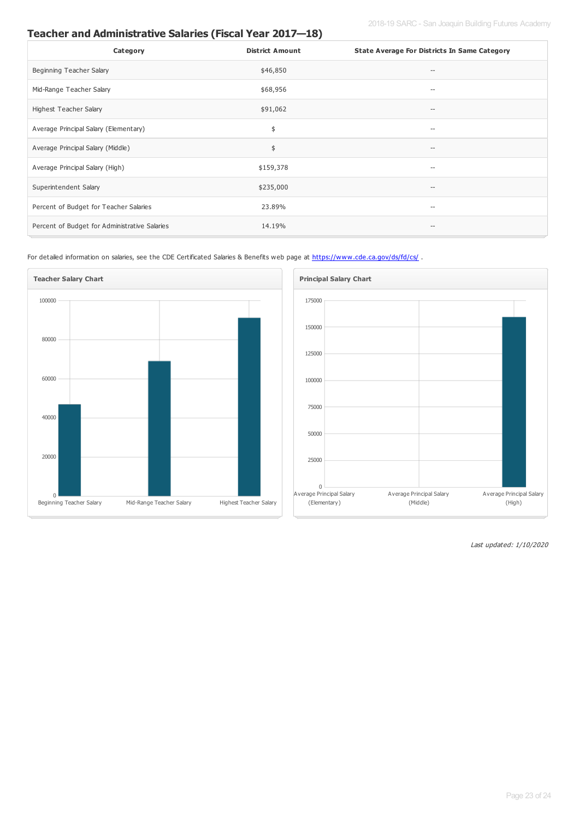# **Teacher and Administrative Salaries (Fiscal Year 2017—18)**

| Category                                      | <b>District Amount</b> | <b>State Average For Districts In Same Category</b> |
|-----------------------------------------------|------------------------|-----------------------------------------------------|
| Beginning Teacher Salary                      | \$46,850               |                                                     |
| Mid-Range Teacher Salary                      | \$68,956               | $-\!$                                               |
| Highest Teacher Salary                        | \$91,062               | $-\!$                                               |
| Average Principal Salary (Elementary)         | \$                     | $-\!$                                               |
| Average Principal Salary (Middle)             | \$                     | --                                                  |
| Average Principal Salary (High)               | \$159,378              | $-\!$                                               |
| Superintendent Salary                         | \$235,000              | $-\!$                                               |
| Percent of Budget for Teacher Salaries        | 23.89%                 | $\hspace{0.05cm} -$                                 |
| Percent of Budget for Administrative Salaries | 14.19%                 |                                                     |

For detailed information on salaries, see the CDE Certificated Salaries & Benefits web page at <https://www.cde.ca.gov/ds/fd/cs/>.





Last updated: 1/10/2020